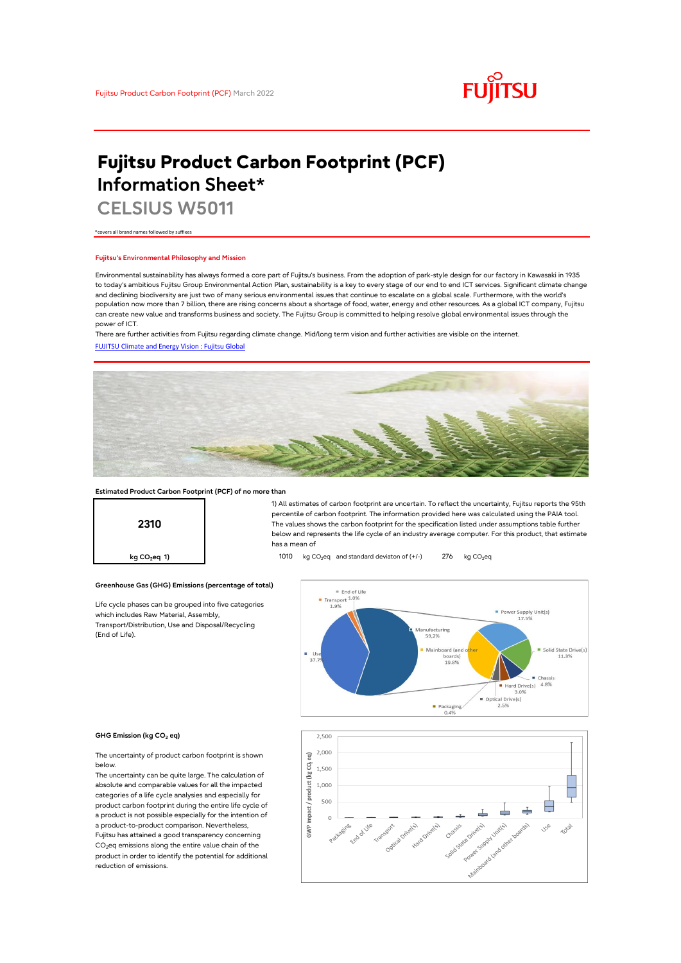

# **Fujitsu Product Carbon Footprint (PCF) Information Sheet\***

**CELSIUS W5011**

\*covers all brand names followed by suffixes

## **Fujitsu's Environmental Philosophy and Mission**

Environmental sustainability has always formed a core part of Fujitsu's business. From the adoption of park-style design for our factory in Kawasaki in 1935 to today's ambitious Fujitsu Group Environmental Action Plan, sustainability is a key to every stage of our end to end ICT services. Significant climate change and declining biodiversity are just two of many serious environmental issues that continue to escalate on a global scale. Furthermore, with the world's population now more than 7 billion, there are rising concerns about a shortage of food, water, energy and other resources. As a global ICT company, Fujitsu can create new value and transforms business and society. The Fujitsu Group is committed to helping resolve global environmental issues through the power of ICT.

[FUJITSU Climate and Energy Vision : Fujitsu Global](https://www.fujitsu.com/global/about/environment/climate-energy-vision/) There are further activities from Fujitsu regarding climate change. Mid/long term vision and further activities are visible on the internet.



## **Estimated Product Carbon Footprint (PCF) of no more than**

**2310**

1) All estimates of carbon footprint are uncertain. To reflect the uncertainty, Fujitsu reports the 95th percentile of carbon footprint. The information provided here was calculated using the PAIA tool. The values shows the carbon footprint for the specification listed under assumptions table further below and represents the life cycle of an industry average computer. For this product, that estimate has a mean of

**kg CO<sub>2</sub>eq 1) https://e** 1010 kg CO<sub>2</sub>eq and standard deviaton of (+/-) 276 kg CO<sub>2</sub>eq



### **GHG Emission (kg CO2 eq)**

(End of Life).

The uncertainty of product carbon footprint is shown below.

Life cycle phases can be grouped into five categories

**Greenhouse Gas (GHG) Emissions (percentage of total)**

which includes Raw Material, Assembly, Transport/Distribution, Use and Disposal/Recycling

The uncertainty can be quite large. The calculation of absolute and comparable values for all the impacted categories of a life cycle analysies and especially for product carbon footprint during the entire life cycle of a product is not possible especially for the intention of a product-to-product comparison. Nevertheless, Fujitsu has attained a good transparency concerning  $CO<sub>2</sub>$ eq emissions along the entire value chain of the product in order to identify the potential for additional reduction of emissions.